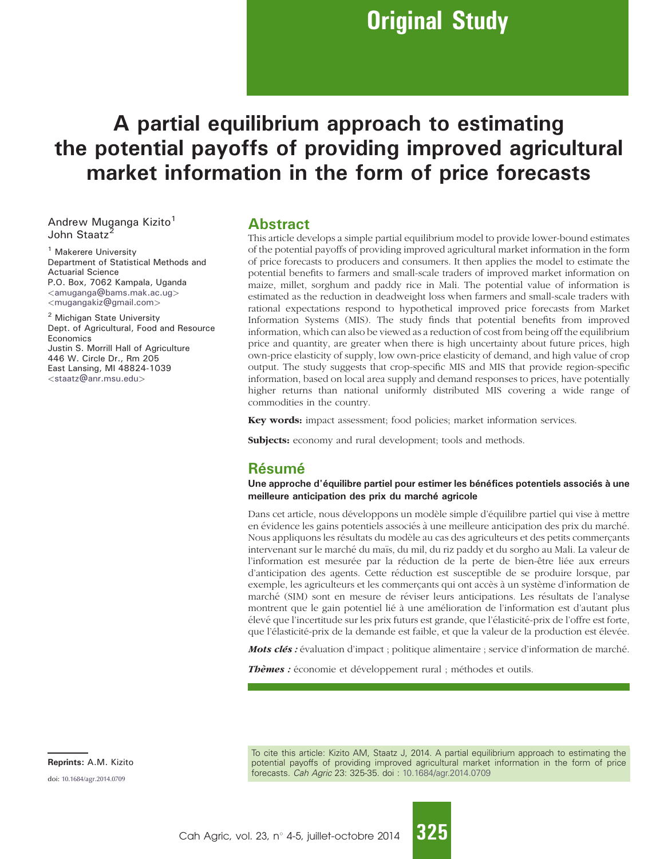# Original Study

# A partial equilibrium approach to estimating the potential payoffs of providing improved agricultural market information in the form of price forecasts

Andrew Muganga Kizito<sup>1</sup> John Staatz

<sup>1</sup> Makerere University Department of Statistical Methods and Actuarial Science P.O. Box, 7062 Kampala, Uganda <[amuganga@bams.mak.ac.ug](mailto:amuganga@bams.mak.ac.ug)> <[mugangakiz@gmail.com](mailto:mugangakiz@gmail.com)>

<sup>2</sup> Michigan State University Dept. of Agricultural, Food and Resource Economics Justin S. Morrill Hall of Agriculture 446 W. Circle Dr., Rm 205 East Lansing, MI 48824-1039 <[staatz@anr.msu.edu](mailto:staatz@anr.msu.edu)>

## Abstract

This article develops a simple partial equilibrium model to provide lower-bound estimates of the potential payoffs of providing improved agricultural market information in the form of price forecasts to producers and consumers. It then applies the model to estimate the potential benefits to farmers and small-scale traders of improved market information on maize, millet, sorghum and paddy rice in Mali. The potential value of information is estimated as the reduction in deadweight loss when farmers and small-scale traders with rational expectations respond to hypothetical improved price forecasts from Market Information Systems (MIS). The study finds that potential benefits from improved information, which can also be viewed as a reduction of cost from being off the equilibrium price and quantity, are greater when there is high uncertainty about future prices, high own-price elasticity of supply, low own-price elasticity of demand, and high value of crop output. The study suggests that crop-specific MIS and MIS that provide region-specific information, based on local area supply and demand responses to prices, have potentially higher returns than national uniformly distributed MIS covering a wide range of commodities in the country.

Key words: impact assessment; food policies; market information services.

Subjects: economy and rural development; tools and methods.

## Résumé

Une approche d'équilibre partiel pour estimer les bénéfices potentiels associés à une meilleure anticipation des prix du marché agricole

Dans cet article, nous développons un modèle simple d'équilibre partiel qui vise à mettre en évidence les gains potentiels associés à une meilleure anticipation des prix du marché. Nous appliquons les résultats du modèle au cas des agriculteurs et des petits commercants intervenant sur le marché du maïs, du mil, du riz paddy et du sorgho au Mali. La valeur de l'information est mesurée par la réduction de la perte de bien-être liée aux erreurs d'anticipation des agents. Cette réduction est susceptible de se produire lorsque, par exemple, les agriculteurs et les commerçants qui ont accès à un système d'information de marché (SIM) sont en mesure de réviser leurs anticipations. Les résultats de l'analyse montrent que le gain potentiel lié à une amélioration de l'information est d'autant plus élevé que l'incertitude sur les prix futurs est grande, que l'élasticité-prix de l'offre est forte, que l'élasticité-prix de la demande est faible, et que la valeur de la production est élevée.

Mots clés : évaluation d'impact ; politique alimentaire ; service d'information de marché.

Thèmes : économie et développement rural ; méthodes et outils.

To cite this article: Kizito AM, Staatz J, 2014. A partial equilibrium approach to estimating the potential payoffs of providing improved agricultural market information in the form of price forecasts. Cah Agric 23: 325-35. doi : [10.1684/agr.2014.0709](http://dx.doi.org/10.1684/agr.2014.0709)

Reprints: A.M. Kizito

doi: [10.1684/agr.2014.0709](http://dx.doi.org/10.1684/agr.2014.0709)

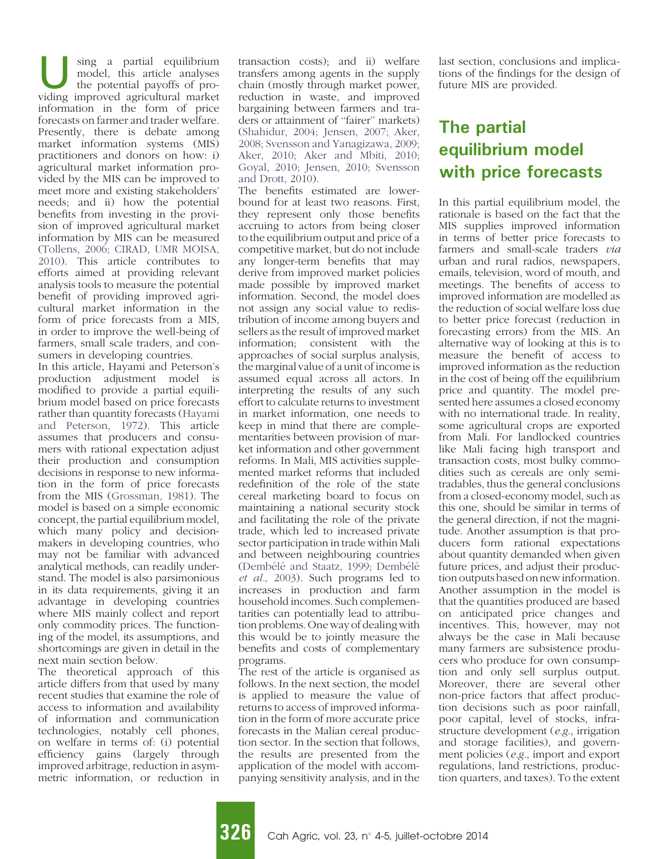Using a partial equilibrium model, this article analyses the potential payoffs of providing improved agricultural market information in the form of price forecasts on farmer and trader welfare. Presently, there is debate among market information systems (MIS) practitioners and donors on how: i) agricultural market information provided by the MIS can be improved to meet more and existing stakeholders' needs; and ii) how the potential benefits from investing in the provision of improved agricultural market information by MIS can be measured ([Tollens, 2006; CIRAD, UMR MOISA,](#page-10-0) [2010\)](#page-10-0). This article contributes to efforts aimed at providing relevant analysis tools to measure the potential benefit of providing improved agricultural market information in the form of price forecasts from a MIS, in order to improve the well-being of farmers, small scale traders, and consumers in developing countries.

In this article, Hayami and Peterson's production adjustment model is modified to provide a partial equilibrium model based on price forecasts rather than quantity forecasts ([Hayami](#page-10-0) [and Peterson, 1972\)](#page-10-0). This article assumes that producers and consumers with rational expectation adjust their production and consumption decisions in response to new information in the form of price forecasts from the MIS [\(Grossman, 1981\)](#page-10-0). The model is based on a simple economic concept, the partial equilibrium model, which many policy and decisionmakers in developing countries, who may not be familiar with advanced analytical methods, can readily understand. The model is also parsimonious in its data requirements, giving it an advantage in developing countries where MIS mainly collect and report only commodity prices. The functioning of the model, its assumptions, and shortcomings are given in detail in the next main section below.

The theoretical approach of this article differs from that used by many recent studies that examine the role of access to information and availability of information and communication technologies, notably cell phones, on welfare in terms of: (i) potential efficiency gains (largely through improved arbitrage, reduction in asymmetric information, or reduction in

transaction costs); and ii) welfare transfers among agents in the supply chain (mostly through market power, reduction in waste, and improved bargaining between farmers and traders or attainment of ''fairer'' markets) [\(Shahidur, 2004; Jensen, 2007; Aker,](#page-10-0) [2008; Svensson and Yanagizawa, 2009;](#page-10-0) [Aker, 2010; Aker and Mbiti, 2010;](#page-10-0) [Goyal, 2010; Jensen, 2010; Svensson](#page-10-0) [and Drott, 2010](#page-10-0)).

The benefits estimated are lowerbound for at least two reasons. First, they represent only those benefits accruing to actors from being closer to the equilibrium output and price of a competitive market, but do not include any longer-term benefits that may derive from improved market policies made possible by improved market information. Second, the model does not assign any social value to redistribution of income among buyers and sellers as the result of improved market information; consistent with the approaches of social surplus analysis, the marginal value of a unit of income is assumed equal across all actors. In interpreting the results of any such effort to calculate returns to investment in market information, one needs to keep in mind that there are complementarities between provision of market information and other government reforms. In Mali, MIS activities supplemented market reforms that included redefinition of the role of the state cereal marketing board to focus on maintaining a national security stock and facilitating the role of the private trade, which led to increased private sector participation in trade within Mali and between neighbouring countries (Dembélé and Staatz, 1999; Dembélé et al.[, 2003\)](#page-9-0). Such programs led to increases in production and farm household incomes. Such complementarities can potentially lead to attribution problems. One way of dealing with this would be to jointly measure the benefits and costs of complementary programs.

The rest of the article is organised as follows. In the next section, the model is applied to measure the value of returns to access of improved information in the form of more accurate price forecasts in the Malian cereal production sector. In the section that follows, the results are presented from the application of the model with accompanying sensitivity analysis, and in the last section, conclusions and implications of the findings for the design of future MIS are provided.

## The partial equilibrium model with price forecasts

In this partial equilibrium model, the rationale is based on the fact that the MIS supplies improved information in terms of better price forecasts to farmers and small-scale traders via urban and rural radios, newspapers, emails, television, word of mouth, and meetings. The benefits of access to improved information are modelled as the reduction of social welfare loss due to better price forecast (reduction in forecasting errors) from the MIS. An alternative way of looking at this is to measure the benefit of access to improved information as the reduction in the cost of being off the equilibrium price and quantity. The model presented here assumes a closed economy with no international trade. In reality, some agricultural crops are exported from Mali. For landlocked countries like Mali facing high transport and transaction costs, most bulky commodities such as cereals are only semitradables, thus the general conclusions from a closed-economy model, such as this one, should be similar in terms of the general direction, if not the magnitude. Another assumption is that producers form rational expectations about quantity demanded when given future prices, and adjust their production outputs based on new information. Another assumption in the model is that the quantities produced are based on anticipated price changes and incentives. This, however, may not always be the case in Mali because many farmers are subsistence producers who produce for own consumption and only sell surplus output. Moreover, there are several other non-price factors that affect production decisions such as poor rainfall, poor capital, level of stocks, infrastructure development (e.g., irrigation and storage facilities), and government policies (e.g., import and export regulations, land restrictions, production quarters, and taxes). To the extent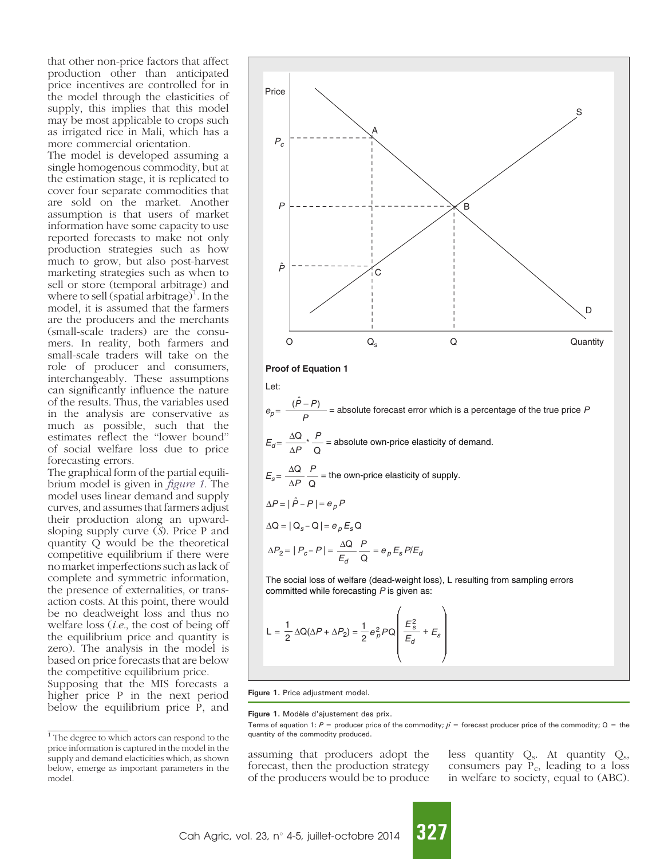<span id="page-2-0"></span>that other non-price factors that affect production other than anticipated price incentives are controlled for in the model through the elasticities of supply, this implies that this model may be most applicable to crops such as irrigated rice in Mali, which has a more commercial orientation.

The model is developed assuming a single homogenous commodity, but at the estimation stage, it is replicated to cover four separate commodities that are sold on the market. Another assumption is that users of market information have some capacity to use reported forecasts to make not only production strategies such as how much to grow, but also post-harvest marketing strategies such as when to sell or store (temporal arbitrage) and where to sell (spatial arbitrage)<sup>1</sup>. In the model, it is assumed that the farmers are the producers and the merchants (small-scale traders) are the consumers. In reality, both farmers and small-scale traders will take on the role of producer and consumers, interchangeably. These assumptions can significantly influence the nature of the results. Thus, the variables used in the analysis are conservative as much as possible, such that the estimates reflect the ''lower bound'' of social welfare loss due to price forecasting errors.

The graphical form of the partial equilibrium model is given in figure 1. The model uses linear demand and supply curves, and assumes that farmers adjust their production along an upwardsloping supply curve (S). Price P and quantity Q would be the theoretical competitive equilibrium if there were no market imperfections such as lack of complete and symmetric information, the presence of externalities, or transaction costs. At this point, there would be no deadweight loss and thus no welfare loss (i.e., the cost of being off the equilibrium price and quantity is zero). The analysis in the model is based on price forecasts that are below the competitive equilibrium price. Supposing that the MIS forecasts a

higher price P in the next period below the equilibrium price P, and



$$
L = \frac{1}{2} \Delta Q(\Delta P + \Delta P_2) = \frac{1}{2} e_p^2 P Q \left( \frac{E_s^2}{E_d} + E_s \right)
$$

Figure 1. Price adjustment model.

Figure 1. Modèle d'ajustement des prix.

assuming that producers adopt the forecast, then the production strategy of the producers would be to produce less quantity  $Q_s$ . At quantity  $Q_s$ , consumers pay  $\overline{P}_c$ , leading to a loss in welfare to society, equal to (ABC).

 $\frac{1}{1}$  The degree to which actors can respond to the quantity of the commodity produced. price information is captured in the model in the supply and demand elacticities which, as shown below, emerge as important parameters in the model.

Terms of equation 1: P = producer price of the commodity;  $\hat{p}$  = forecast producer price of the commodity; Q = the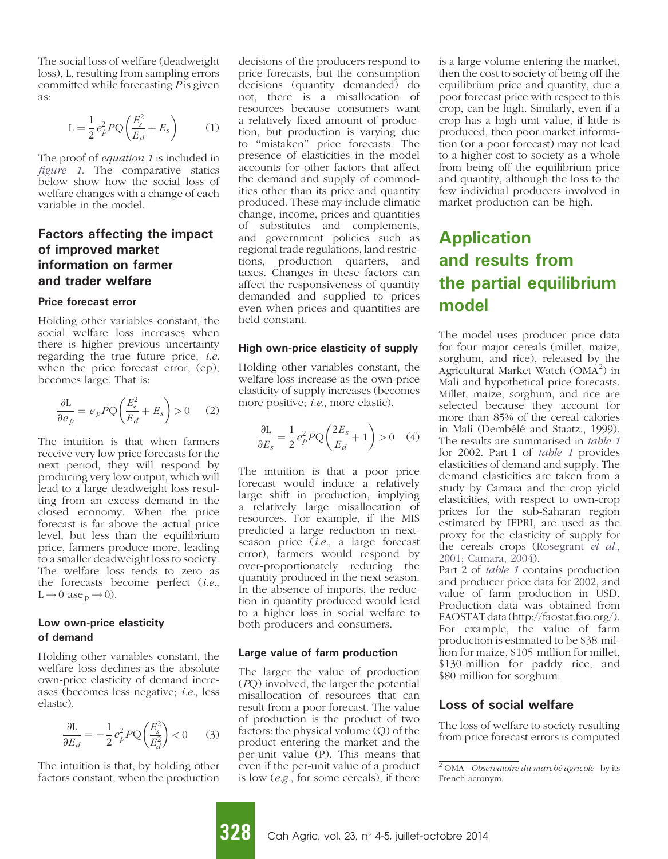The social loss of welfare (deadweight loss), L, resulting from sampling errors committed while forecasting  $P$  is given as:

$$
L = \frac{1}{2} e_p^2 P Q \left( \frac{E_s^2}{E_d} + E_s \right) \tag{1}
$$

The proof of *equation 1* is included in [figure 1](#page-2-0). The comparative statics below show how the social loss of welfare changes with a change of each variable in the model.

## Factors affecting the impact of improved market information on farmer and trader welfare

#### Price forecast error

Holding other variables constant, the social welfare loss increases when there is higher previous uncertainty regarding the true future price,  $i.e.$ when the price forecast error, (ep), becomes large. That is:

$$
\frac{\partial L}{\partial e_p} = e_p P Q \left( \frac{E_s^2}{E_d} + E_s \right) > 0 \quad (2)
$$

The intuition is that when farmers receive very low price forecasts for the next period, they will respond by producing very low output, which will lead to a large deadweight loss resulting from an excess demand in the closed economy. When the price forecast is far above the actual price level, but less than the equilibrium price, farmers produce more, leading to a smaller deadweight loss to society. The welfare loss tends to zero as the forecasts become perfect (i.e.,  $L \rightarrow 0$  ase  $p \rightarrow 0$ ).

#### Low own-price elasticity of demand

Holding other variables constant, the welfare loss declines as the absolute own-price elasticity of demand increases (becomes less negative; i.e., less elastic).

$$
\frac{\partial \mathcal{L}}{\partial E_d} = -\frac{1}{2} e_p^2 P Q \left( \frac{E_s^2}{E_d^2} \right) < 0 \tag{3}
$$

The intuition is that, by holding other factors constant, when the production decisions of the producers respond to price forecasts, but the consumption decisions (quantity demanded) do not, there is a misallocation of resources because consumers want a relatively fixed amount of production, but production is varying due to ''mistaken'' price forecasts. The presence of elasticities in the model accounts for other factors that affect the demand and supply of commodities other than its price and quantity produced. These may include climatic change, income, prices and quantities of substitutes and complements, and government policies such as regional trade regulations, land restrictions, production quarters, and taxes. Changes in these factors can affect the responsiveness of quantity demanded and supplied to prices even when prices and quantities are held constant.

#### High own-price elasticity of supply

Holding other variables constant, the welfare loss increase as the own-price elasticity of supply increases (becomes more positive; i.e., more elastic).

$$
\frac{\partial L}{\partial E_s} = \frac{1}{2} e_p^2 P Q \left( \frac{2E_s}{E_d} + 1 \right) > 0 \quad (4)
$$

The intuition is that a poor price forecast would induce a relatively large shift in production, implying a relatively large misallocation of resources. For example, if the MIS predicted a large reduction in nextseason price (i.e., a large forecast error), farmers would respond by over-proportionately reducing the quantity produced in the next season. In the absence of imports, the reduction in quantity produced would lead to a higher loss in social welfare to both producers and consumers.

#### Large value of farm production

The larger the value of production (PQ) involved, the larger the potential misallocation of resources that can result from a poor forecast. The value of production is the product of two factors: the physical volume (Q) of the product entering the market and the per-unit value (P). This means that even if the per-unit value of a product is low (e.g., for some cereals), if there

is a large volume entering the market, then the cost to society of being off the equilibrium price and quantity, due a poor forecast price with respect to this crop, can be high. Similarly, even if a crop has a high unit value, if little is produced, then poor market information (or a poor forecast) may not lead to a higher cost to society as a whole from being off the equilibrium price and quantity, although the loss to the few individual producers involved in market production can be high.

## Application and results from the partial equilibrium model

The model uses producer price data for four major cereals (millet, maize, sorghum, and rice), released by the Agricultural Market Watch (OMA<sup>2</sup>) in Mali and hypothetical price forecasts. Millet, maize, sorghum, and rice are selected because they account for more than 85% of the cereal calories in Mali (Dembélé and Staatz., 1999). The results are summarised in [table 1](#page-4-0) for 2002. Part 1 of [table 1](#page-4-0) provides elasticities of demand and supply. The demand elasticities are taken from a study by Camara and the crop yield elasticities, with respect to own-crop prices for the sub-Saharan region estimated by IFPRI, are used as the proxy for the elasticity of supply for the cereals crops [\(Rosegrant](#page-10-0) et al., [2001; Camara, 2004](#page-10-0)).

Part 2 of [table 1](#page-4-0) contains production and producer price data for 2002, and value of farm production in USD. Production data was obtained from FAOSTAT data (http://faostat.fao.org/). For example, the value of farm production is estimated to be \$38 million for maize, \$105 million for millet, \$130 million for paddy rice, and \$80 million for sorghum.

#### Loss of social welfare

The loss of welfare to society resulting from price forecast errors is computed

 $2$  OMA - Observatoire du marché agricole - by its French acronym.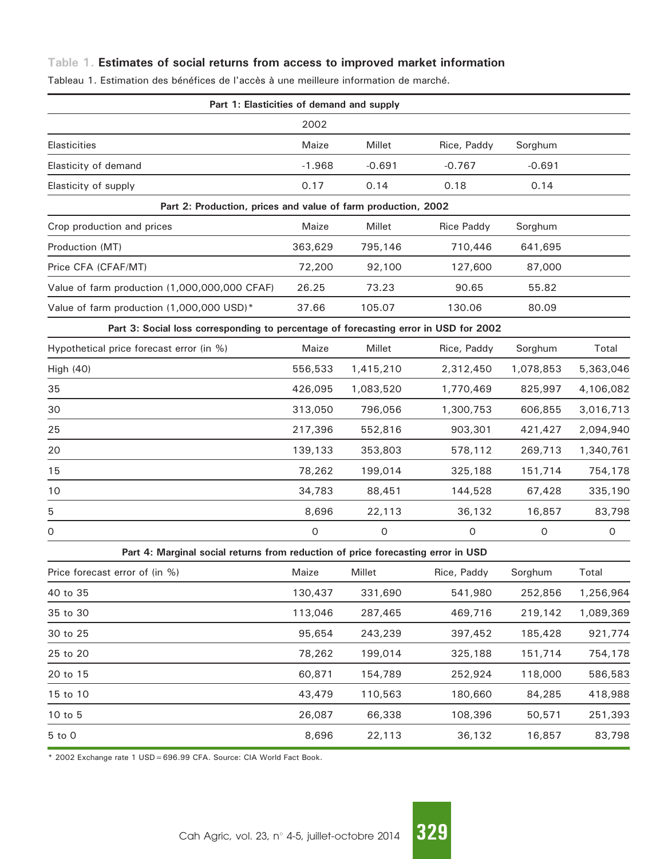## <span id="page-4-0"></span>Table 1. Estimates of social returns from access to improved market information

| Part 1: Elasticities of demand and supply                                            |          |           |                   |           |           |
|--------------------------------------------------------------------------------------|----------|-----------|-------------------|-----------|-----------|
|                                                                                      | 2002     |           |                   |           |           |
| <b>Elasticities</b>                                                                  | Maize    | Millet    | Rice, Paddy       | Sorghum   |           |
| Elasticity of demand                                                                 | $-1.968$ | $-0.691$  | $-0.767$          | $-0.691$  |           |
| Elasticity of supply                                                                 | 0.17     | 0.14      | 0.18              | 0.14      |           |
| Part 2: Production, prices and value of farm production, 2002                        |          |           |                   |           |           |
| Crop production and prices                                                           | Maize    | Millet    | <b>Rice Paddy</b> | Sorghum   |           |
| Production (MT)                                                                      | 363,629  | 795,146   | 710,446           | 641,695   |           |
| Price CFA (CFAF/MT)                                                                  | 72,200   | 92,100    | 127,600           | 87,000    |           |
| Value of farm production (1,000,000,000 CFAF)                                        | 26.25    | 73.23     | 90.65             | 55.82     |           |
| Value of farm production (1,000,000 USD)*                                            | 37.66    | 105.07    | 130.06            | 80.09     |           |
| Part 3: Social loss corresponding to percentage of forecasting error in USD for 2002 |          |           |                   |           |           |
| Hypothetical price forecast error (in %)                                             | Maize    | Millet    | Rice, Paddy       | Sorghum   | Total     |
| High (40)                                                                            | 556,533  | 1,415,210 | 2,312,450         | 1,078,853 | 5,363,046 |
| 35                                                                                   | 426,095  | 1,083,520 | 1,770,469         | 825,997   | 4,106,082 |
| 30                                                                                   | 313,050  | 796,056   | 1,300,753         | 606,855   | 3,016,713 |
| 25                                                                                   | 217,396  | 552,816   | 903,301           | 421,427   | 2,094,940 |
| 20                                                                                   | 139,133  | 353,803   | 578,112           | 269,713   | 1,340,761 |
| 15                                                                                   | 78,262   | 199,014   | 325,188           | 151,714   | 754,178   |
| 10                                                                                   | 34,783   | 88,451    | 144,528           | 67,428    | 335,190   |
| 5                                                                                    | 8,696    | 22,113    | 36,132            | 16,857    | 83,798    |
| 0                                                                                    | 0        | 0         | 0                 | 0         | $\circ$   |
| Part 4: Marginal social returns from reduction of price forecasting error in USD     |          |           |                   |           |           |
| Price forecast error of (in %)                                                       | Maize    | Millet    | Rice, Paddy       | Sorghum   | Total     |
| 40 to 35                                                                             | 130,437  | 331,690   | 541,980           | 252,856   | 1,256,964 |
| 35 to 30                                                                             | 113,046  | 287,465   | 469,716           | 219,142   | 1,089,369 |
| 30 to 25                                                                             | 95,654   | 243,239   | 397,452           | 185,428   | 921,774   |
| 25 to 20                                                                             | 78,262   | 199,014   | 325,188           | 151,714   | 754,178   |
| 20 to 15                                                                             | 60,871   | 154,789   | 252,924           | 118,000   | 586,583   |
| 15 to 10                                                                             | 43,479   | 110,563   | 180,660           | 84,285    | 418,988   |
| 10 to 5                                                                              | 26,087   | 66,338    | 108,396           | 50,571    | 251,393   |
| 5 to 0                                                                               | 8,696    | 22,113    | 36,132            | 16,857    | 83,798    |
|                                                                                      |          |           |                   |           |           |

Tableau 1. Estimation des bénéfices de l'accès à une meilleure information de marché.

\* 2002 Exchange rate 1 USD=696.99 CFA. Source: CIA World Fact Book.

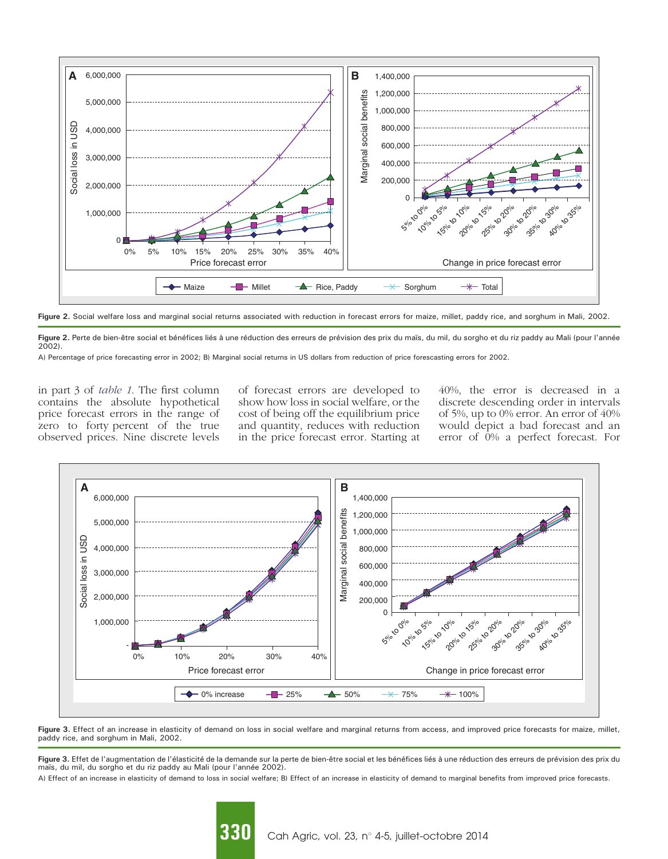<span id="page-5-0"></span>

Figure 2. Social welfare loss and marginal social returns associated with reduction in forecast errors for maize, millet, paddy rice, and sorghum in Mali, 2002.

Figure 2. Perte de bien-être social et bénéfices liés à une réduction des erreurs de prévision des prix du maïs, du mil, du sorgho et du riz paddy au Mali (pour l'année 2002).

A) Percentage of price forecasting error in 2002; B) Marginal social returns in US dollars from reduction of price forescasting errors for 2002.

in part 3 of [table 1](#page-4-0). The first column contains the absolute hypothetical price forecast errors in the range of zero to forty percent of the true observed prices. Nine discrete levels

of forecast errors are developed to show how loss in social welfare, or the cost of being off the equilibrium price and quantity, reduces with reduction in the price forecast error. Starting at 40%, the error is decreased in a discrete descending order in intervals of 5%, up to 0% error. An error of 40% would depict a bad forecast and an error of 0% a perfect forecast. For



Figure 3. Effect of an increase in elasticity of demand on loss in social welfare and marginal returns from access, and improved price forecasts for maize, millet, paddy rice, and sorghum in Mali, 2002.

Figure 3. Effet de l'augmentation de l'élasticité de la demande sur la perte de bien-être social et les bénéfices liés à une réduction des erreurs de prévision des prix du maïs, du mil, du sorgho et du riz paddy au Mali (pour l'année 2002).

A) Effect of an increase in elasticity of demand to loss in social welfare; B) Effect of an increase in elasticity of demand to marginal benefits from improved price forecasts.

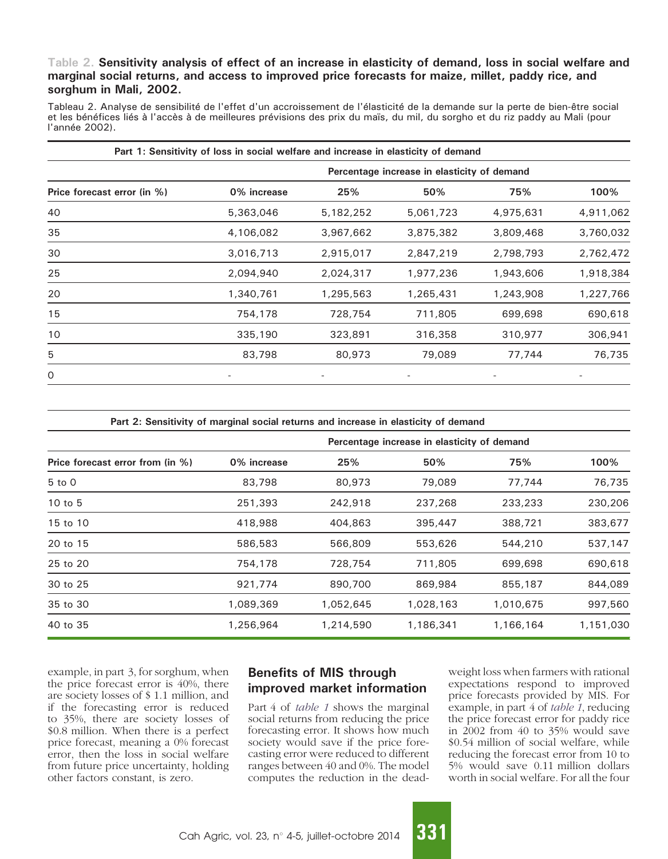### <span id="page-6-0"></span>Table 2. Sensitivity analysis of effect of an increase in elasticity of demand, loss in social welfare and marginal social returns, and access to improved price forecasts for maize, millet, paddy rice, and sorghum in Mali, 2002.

Tableau 2. Analyse de sensibilité de l'effet d'un accroissement de l'élasticité de la demande sur la perte de bien-être social et les bénéfices liés à l'accès à de meilleures prévisions des prix du maïs, du mil, du sorgho et du riz paddy au Mali (pour l'année 2002).

| Part 1: Sensitivity of loss in social welfare and increase in elasticity of demand |                                             |           |           |                          |           |  |  |
|------------------------------------------------------------------------------------|---------------------------------------------|-----------|-----------|--------------------------|-----------|--|--|
| Price forecast error (in %)                                                        | Percentage increase in elasticity of demand |           |           |                          |           |  |  |
|                                                                                    | 0% increase                                 | 25%       | 50%       | 75%                      | 100%      |  |  |
| 40                                                                                 | 5,363,046                                   | 5,182,252 | 5,061,723 | 4,975,631                | 4,911,062 |  |  |
| 35                                                                                 | 4,106,082                                   | 3,967,662 | 3,875,382 | 3,809,468                | 3,760,032 |  |  |
| 30                                                                                 | 3,016,713                                   | 2,915,017 | 2,847,219 | 2,798,793                | 2,762,472 |  |  |
| 25                                                                                 | 2,094,940                                   | 2,024,317 | 1,977,236 | 1,943,606                | 1,918,384 |  |  |
| 20                                                                                 | 1,340,761                                   | 1,295,563 | 1,265,431 | 1,243,908                | 1,227,766 |  |  |
| 15                                                                                 | 754,178                                     | 728,754   | 711,805   | 699,698                  | 690,618   |  |  |
| 10                                                                                 | 335,190                                     | 323,891   | 316,358   | 310,977                  | 306,941   |  |  |
| 5                                                                                  | 83,798                                      | 80,973    | 79,089    | 77,744                   | 76,735    |  |  |
| 0                                                                                  | $\qquad \qquad \blacksquare$                |           |           | $\overline{\phantom{a}}$ |           |  |  |

| Part 2: Sensitivity of marginal social returns and increase in elasticity of demand |  |  |  |
|-------------------------------------------------------------------------------------|--|--|--|
|                                                                                     |  |  |  |

|                                  | Percentage increase in elasticity of demand |           |           |           |           |  |
|----------------------------------|---------------------------------------------|-----------|-----------|-----------|-----------|--|
| Price forecast error from (in %) | 0% increase                                 | 25%       | 50%       | 75%       | 100%      |  |
| $5$ to $0$                       | 83,798                                      | 80,973    | 79,089    | 77,744    | 76,735    |  |
| 10 to 5                          | 251,393                                     | 242,918   | 237,268   | 233,233   | 230,206   |  |
| 15 to 10                         | 418,988                                     | 404,863   | 395,447   | 388,721   | 383,677   |  |
| 20 to 15                         | 586,583                                     | 566,809   | 553,626   | 544,210   | 537,147   |  |
| 25 to 20                         | 754,178                                     | 728,754   | 711,805   | 699,698   | 690,618   |  |
| 30 to 25                         | 921,774                                     | 890,700   | 869,984   | 855,187   | 844,089   |  |
| 35 to 30                         | 1,089,369                                   | 1,052,645 | 1,028,163 | 1,010,675 | 997,560   |  |
| 40 to 35                         | 1,256,964                                   | 1,214,590 | 1,186,341 | 1,166,164 | 1,151,030 |  |

example, in part 3, for sorghum, when the price forecast error is 40%, there are society losses of \$ 1.1 million, and if the forecasting error is reduced to 35%, there are society losses of \$0.8 million. When there is a perfect price forecast, meaning a 0% forecast error, then the loss in social welfare from future price uncertainty, holding other factors constant, is zero.

## Benefits of MIS through improved market information

Part 4 of [table 1](#page-4-0) shows the marginal social returns from reducing the price forecasting error. It shows how much society would save if the price forecasting error were reduced to different ranges between 40 and 0%. The model computes the reduction in the deadweight loss when farmers with rational expectations respond to improved price forecasts provided by MIS. For example, in part 4 of [table 1](#page-4-0), reducing the price forecast error for paddy rice in 2002 from 40 to 35% would save \$0.54 million of social welfare, while reducing the forecast error from 10 to 5% would save 0.11 million dollars worth in social welfare. For all the four

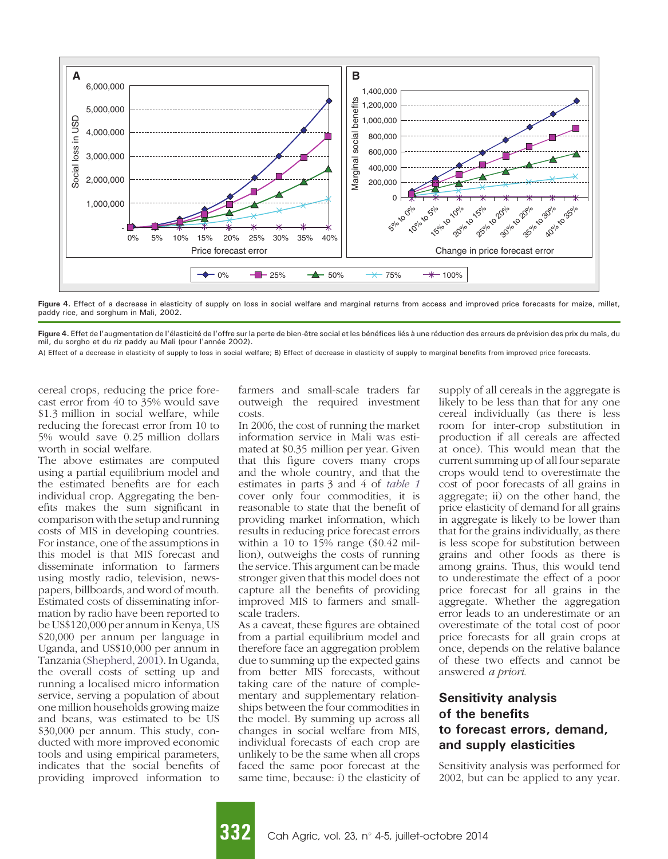<span id="page-7-0"></span>

Figure 4. Effect of a decrease in elasticity of supply on loss in social welfare and marginal returns from access and improved price forecasts for maize, millet, paddy rice, and sorghum in Mali, 2002.

Figure 4. Effet de l'augmentation de l'élasticité de l'offre sur la perte de bien-être social et les bénéfices liés à une réduction des erreurs de prévision des prix du maïs, du mil, du sorgho et du riz paddy au Mali (pour l'année 2002).

A) Effect of a decrease in elasticity of supply to loss in social welfare; B) Effect of decrease in elasticity of supply to marginal benefits from improved price forecasts.

cereal crops, reducing the price forecast error from 40 to 35% would save \$1.3 million in social welfare, while reducing the forecast error from 10 to 5% would save 0.25 million dollars worth in social welfare.

The above estimates are computed using a partial equilibrium model and the estimated benefits are for each individual crop. Aggregating the benefits makes the sum significant in comparison with the setup and running costs of MIS in developing countries. For instance, one of the assumptions in this model is that MIS forecast and disseminate information to farmers using mostly radio, television, newspapers, billboards, and word of mouth. Estimated costs of disseminating information by radio have been reported to be US\$120,000 per annum in Kenya, US \$20,000 per annum per language in Uganda, and US\$10,000 per annum in Tanzania [\(Shepherd, 2001\)](#page-10-0). In Uganda, the overall costs of setting up and running a localised micro information service, serving a population of about one million households growing maize and beans, was estimated to be US \$30,000 per annum. This study, conducted with more improved economic tools and using empirical parameters, indicates that the social benefits of providing improved information to

farmers and small-scale traders far outweigh the required investment costs.

In 2006, the cost of running the market information service in Mali was estimated at \$0.35 million per year. Given that this figure covers many crops and the whole country, and that the estimates in parts 3 and 4 of [table 1](#page-4-0) cover only four commodities, it is reasonable to state that the benefit of providing market information, which results in reducing price forecast errors within a 10 to  $15\%$  range (\$0.42 million), outweighs the costs of running the service. This argument can be made stronger given that this model does not capture all the benefits of providing improved MIS to farmers and smallscale traders.

As a caveat, these figures are obtained from a partial equilibrium model and therefore face an aggregation problem due to summing up the expected gains from better MIS forecasts, without taking care of the nature of complementary and supplementary relationships between the four commodities in the model. By summing up across all changes in social welfare from MIS, individual forecasts of each crop are unlikely to be the same when all crops faced the same poor forecast at the same time, because: i) the elasticity of supply of all cereals in the aggregate is likely to be less than that for any one cereal individually (as there is less room for inter-crop substitution in production if all cereals are affected at once). This would mean that the current summing up of all four separate crops would tend to overestimate the cost of poor forecasts of all grains in aggregate; ii) on the other hand, the price elasticity of demand for all grains in aggregate is likely to be lower than that for the grains individually, as there is less scope for substitution between grains and other foods as there is among grains. Thus, this would tend to underestimate the effect of a poor price forecast for all grains in the aggregate. Whether the aggregation error leads to an underestimate or an overestimate of the total cost of poor price forecasts for all grain crops at once, depends on the relative balance of these two effects and cannot be answered a priori.

## Sensitivity analysis of the benefits to forecast errors, demand, and supply elasticities

Sensitivity analysis was performed for 2002, but can be applied to any year.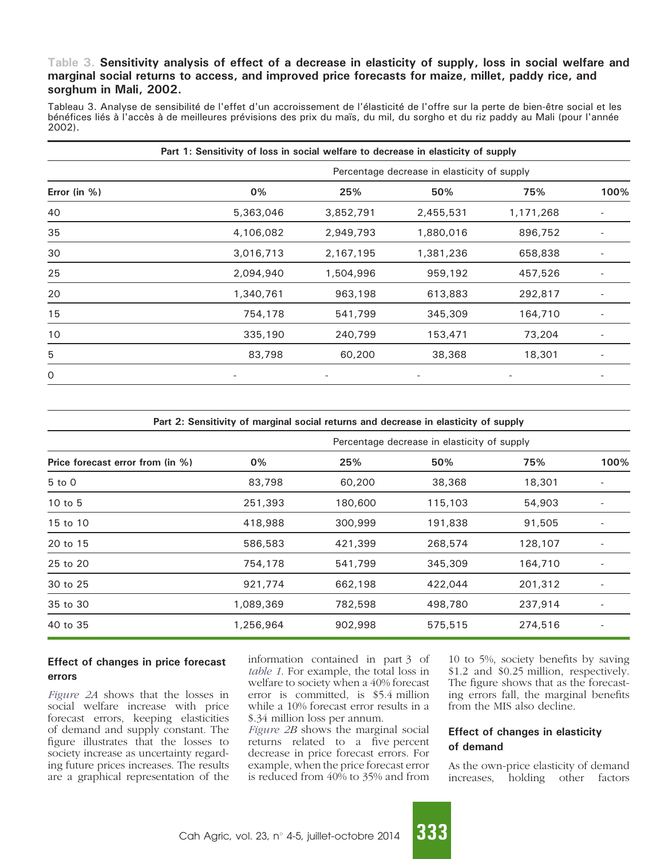### <span id="page-8-0"></span>Table 3. Sensitivity analysis of effect of a decrease in elasticity of supply, loss in social welfare and marginal social returns to access, and improved price forecasts for maize, millet, paddy rice, and sorghum in Mali, 2002.

Tableau 3. Analyse de sensibilité de l'effet d'un accroissement de l'élasticité de l'offre sur la perte de bien-être social et les bénéfices liés à l'accès à de meilleures prévisions des prix du maïs, du mil, du sorgho et du riz paddy au Mali (pour l'année 2002).

|                 | Part 1: Sensitivity of loss in social welfare to decrease in elasticity of supply |                                             |           |           |      |  |  |  |
|-----------------|-----------------------------------------------------------------------------------|---------------------------------------------|-----------|-----------|------|--|--|--|
| Error (in $%$ ) |                                                                                   | Percentage decrease in elasticity of supply |           |           |      |  |  |  |
|                 | 0%                                                                                | 25%                                         | 50%       | 75%       | 100% |  |  |  |
| 40              | 5,363,046                                                                         | 3,852,791                                   | 2,455,531 | 1,171,268 |      |  |  |  |
| 35              | 4,106,082                                                                         | 2,949,793                                   | 1,880,016 | 896,752   |      |  |  |  |
| 30              | 3,016,713                                                                         | 2,167,195                                   | 1,381,236 | 658,838   |      |  |  |  |
| 25              | 2,094,940                                                                         | 1,504,996                                   | 959,192   | 457,526   |      |  |  |  |
| 20              | 1,340,761                                                                         | 963,198                                     | 613,883   | 292,817   |      |  |  |  |
| 15              | 754,178                                                                           | 541,799                                     | 345,309   | 164,710   |      |  |  |  |
| 10              | 335,190                                                                           | 240,799                                     | 153,471   | 73,204    |      |  |  |  |
| 5               | 83,798                                                                            | 60,200                                      | 38,368    | 18,301    |      |  |  |  |
| 0               |                                                                                   |                                             |           |           |      |  |  |  |

| Price forecast error from (in %) | Percentage decrease in elasticity of supply |         |         |         |      |  |
|----------------------------------|---------------------------------------------|---------|---------|---------|------|--|
|                                  | 0%                                          | 25%     | 50%     | 75%     | 100% |  |
| $5$ to $0$                       | 83,798                                      | 60,200  | 38,368  | 18,301  |      |  |
| $10$ to $5$                      | 251,393                                     | 180,600 | 115,103 | 54,903  |      |  |
| 15 to 10                         | 418,988                                     | 300,999 | 191,838 | 91,505  |      |  |
| 20 to 15                         | 586,583                                     | 421,399 | 268,574 | 128,107 |      |  |
| 25 to 20                         | 754,178                                     | 541,799 | 345,309 | 164,710 |      |  |
| 30 to 25                         | 921,774                                     | 662,198 | 422,044 | 201,312 |      |  |
| 35 to 30                         | 1,089,369                                   | 782,598 | 498,780 | 237,914 |      |  |
| 40 to 35                         | 1,256,964                                   | 902,998 | 575,515 | 274,516 |      |  |

#### Effect of changes in price forecast errors

[Figure 2A](#page-5-0) shows that the losses in social welfare increase with price forecast errors, keeping elasticities of demand and supply constant. The figure illustrates that the losses to society increase as uncertainty regarding future prices increases. The results are a graphical representation of the

information contained in part 3 of [table 1](#page-4-0). For example, the total loss in welfare to society when a 40% forecast error is committed, is \$5.4 million while a 10% forecast error results in a \$.34 million loss per annum.

[Figure 2](#page-5-0)B shows the marginal social returns related to a five percent decrease in price forecast errors. For example, when the price forecast error is reduced from 40% to 35% and from 10 to 5%, society benefits by saving \$1.2 and \$0.25 million, respectively. The figure shows that as the forecasting errors fall, the marginal benefits from the MIS also decline.

### Effect of changes in elasticity of demand

As the own-price elasticity of demand increases, holding other factors

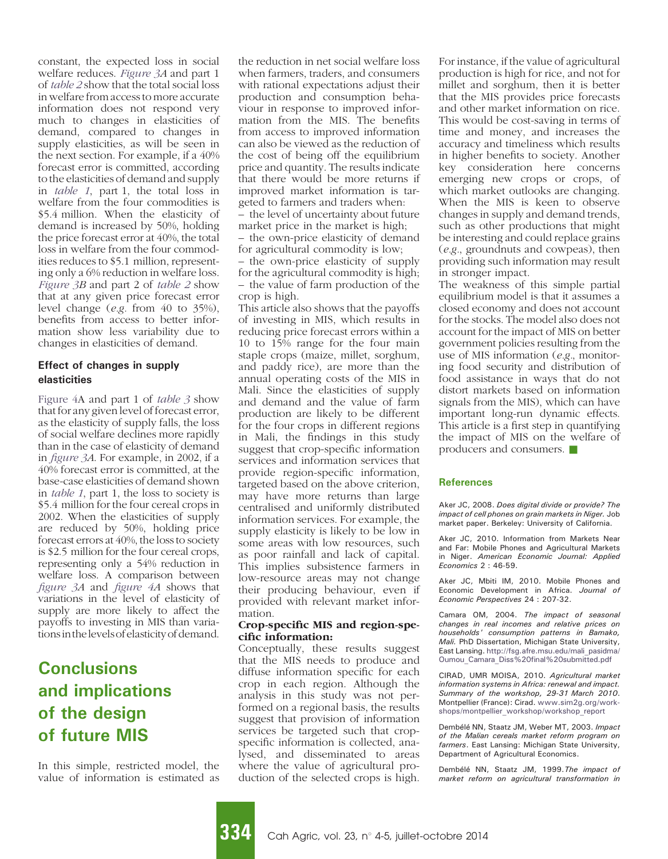<span id="page-9-0"></span>constant, the expected loss in social welfare reduces. [Figure 3](#page-5-0)A and part 1 of [table 2](#page-6-0) show that the total social loss in welfare from access to more accurate information does not respond very much to changes in elasticities of demand, compared to changes in supply elasticities, as will be seen in the next section. For example, if a 40% forecast error is committed, according to the elasticities of demand and supply in [table 1](#page-4-0), part 1, the total loss in welfare from the four commodities is \$5.4 million. When the elasticity of demand is increased by 50%, holding the price forecast error at 40%, the total loss in welfare from the four commodities reduces to \$5.1 million, representing only a 6% reduction in welfare loss. [Figure 3B](#page-5-0) and part 2 of [table 2](#page-6-0) show that at any given price forecast error level change (e.g. from 40 to 35%), benefits from access to better information show less variability due to changes in elasticities of demand.

#### Effect of changes in supply elasticities

[Figure 4](#page-7-0)A and part 1 of [table 3](#page-8-0) show that for any given level of forecast error, as the elasticity of supply falls, the loss of social welfare declines more rapidly than in the case of elasticity of demand in [figure 3](#page-5-0)A. For example, in 2002, if a 40% forecast error is committed, at the base-case elasticities of demand shown in [table 1](#page-4-0), part 1, the loss to society is \$5.4 million for the four cereal crops in 2002. When the elasticities of supply are reduced by 50%, holding price forecast errors at 40%, the loss to society is \$2.5 million for the four cereal crops, representing only a 54% reduction in welfare loss. A comparison between [figure 3A](#page-5-0) and [figure 4A](#page-7-0) shows that variations in the level of elasticity of supply are more likely to affect the payoffs to investing in MIS than variationsinthelevelsof elasticity of demand.

## **Conclusions** and implications of the design of future MIS

In this simple, restricted model, the value of information is estimated as the reduction in net social welfare loss when farmers, traders, and consumers with rational expectations adjust their production and consumption behaviour in response to improved information from the MIS. The benefits from access to improved information can also be viewed as the reduction of the cost of being off the equilibrium price and quantity. The results indicate that there would be more returns if improved market information is targeted to farmers and traders when:

– the level of uncertainty about future market price in the market is high; – the own-price elasticity of demand

for agricultural commodity is low; – the own-price elasticity of supply for the agricultural commodity is high; – the value of farm production of the crop is high.

This article also shows that the payoffs of investing in MIS, which results in reducing price forecast errors within a 10 to 15% range for the four main staple crops (maize, millet, sorghum, and paddy rice), are more than the annual operating costs of the MIS in Mali. Since the elasticities of supply and demand and the value of farm production are likely to be different for the four crops in different regions in Mali, the findings in this study suggest that crop-specific information services and information services that provide region-specific information, targeted based on the above criterion, may have more returns than large centralised and uniformly distributed information services. For example, the supply elasticity is likely to be low in some areas with low resources, such as poor rainfall and lack of capital. This implies subsistence farmers in low-resource areas may not change their producing behaviour, even if provided with relevant market information.

#### Crop-specific MIS and region-specific information:

Conceptually, these results suggest that the MIS needs to produce and diffuse information specific for each crop in each region. Although the analysis in this study was not performed on a regional basis, the results suggest that provision of information services be targeted such that cropspecific information is collected, analysed, and disseminated to areas where the value of agricultural production of the selected crops is high. For instance, if the value of agricultural production is high for rice, and not for millet and sorghum, then it is better that the MIS provides price forecasts and other market information on rice. This would be cost-saving in terms of time and money, and increases the accuracy and timeliness which results in higher benefits to society. Another key consideration here concerns emerging new crops or crops, of which market outlooks are changing. When the MIS is keen to observe changes in supply and demand trends, such as other productions that might be interesting and could replace grains (e.g., groundnuts and cowpeas), then providing such information may result in stronger impact.

The weakness of this simple partial equilibrium model is that it assumes a closed economy and does not account for the stocks. The model also does not account for the impact of MIS on better government policies resulting from the use of MIS information (e.g., monitoring food security and distribution of food assistance in ways that do not distort markets based on information signals from the MIS), which can have important long-run dynamic effects. This article is a first step in quantifying the impact of MIS on the welfare of producers and consumers.  $\blacksquare$ 

#### References

Aker JC, 2008. Does digital divide or provide? The impact of cell phones on grain markets in Niger. Job market paper. Berkeley: University of California.

Aker JC, 2010. Information from Markets Near and Far: Mobile Phones and Agricultural Markets in Niger. American Economic Journal: Applied Economics 2 : 46-59.

Aker JC, Mbiti IM, 2010. Mobile Phones and Economic Development in Africa. Journal of Economic Perspectives 24 : 207-32.

Camara OM, 2004. The impact of seasonal changes in real incomes and relative prices on households' consumption patterns in Bamako, Mali. PhD Dissertation, Michigan State University, East Lansing. [http://fsg.afre.msu.edu/mali\\_pasidma/](http://fsg.afre.msu.edu/mali_pasidma/Oumou_Camara_Diss%242520final%242520submitted.pdf) [Oumou\\_Camara\\_Diss%20final%20submitted.pdf](http://fsg.afre.msu.edu/mali_pasidma/Oumou_Camara_Diss%242520final%242520submitted.pdf)

CIRAD, UMR MOISA, 2010. Agricultural market information systems in Africa: renewal and impact. Summary of the workshop, 29-31 March 2010. Montpellier (France): Cirad. [www.sim2g.org/work](http://www.sim2g.org/workshops/montpellier_workshop/workshop_report)[shops/montpellier\\_workshop/workshop\\_report](http://www.sim2g.org/workshops/montpellier_workshop/workshop_report)

Dembélé NN, Staatz JM, Weber MT, 2003. Impact of the Malian cereals market reform program on farmers. East Lansing: Michigan State University, Department of Agricultural Economics.

Dembélé NN, Staatz JM, 1999.The impact of market reform on agricultural transformation in